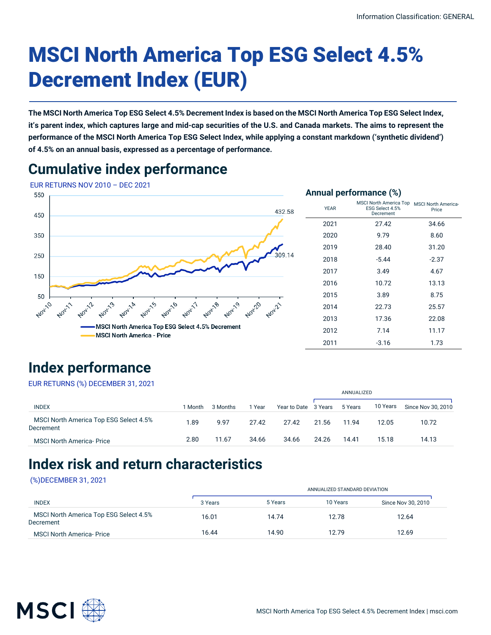# MSCI North America Top ESG Select 4.5% Decrement Index (EUR)

**The MSCI North America Top ESG Select 4.5% Decrement Index is based on the MSCI North America Top ESG Select Index, it's parent index, which captures large and mid-cap securities of the U.S. and Canada markets. The aims to represent the performance of the MSCI North America Top ESG Select Index, while applying a constant markdown ('synthetic dividend') of 4.5% on an annual basis, expressed as a percentage of performance.**

## **Cumulative index performance**



# **Index performance**

EUR RETURNS (%) DECEMBER 31, 2021

| EUR RETURING (%) DEGEIVIBER 31, ZUZT                |         |          |        |                      |            |         |          |                    |
|-----------------------------------------------------|---------|----------|--------|----------------------|------------|---------|----------|--------------------|
|                                                     |         |          |        |                      | ANNUALIZED |         |          |                    |
| <b>INDEX</b>                                        | l Month | 3 Months | 1 Year | Year to Date 3 Years |            | 5 Years | 10 Years | Since Nov 30, 2010 |
| MSCI North America Top ESG Select 4.5%<br>Decrement | 1.89    | 9.97     | 27.42  | 27.42                | 21.56      | 11.94   | 12.05    | 10.72              |
| <b>MSCI North America-Price</b>                     | 2.80    | 11.67    | 34.66  | 34.66                | 24.26      | 14.41   | 15.18    | 14.13              |

# **Index risk and return characteristics**

#### (%)DECEMBER 31, 2021

| <b>INDEX</b>                                        |         | ANNUALIZED STANDARD DEVIATION |          |                    |  |  |  |
|-----------------------------------------------------|---------|-------------------------------|----------|--------------------|--|--|--|
|                                                     | 3 Years | 5 Years                       | 10 Years | Since Nov 30, 2010 |  |  |  |
| MSCI North America Top ESG Select 4.5%<br>Decrement | 16.01   | 14.74                         | 12.78    | 12.64              |  |  |  |
| <b>MSCI North America-Price</b>                     | 16.44   | 14.90                         | 12.79    | 12.69              |  |  |  |